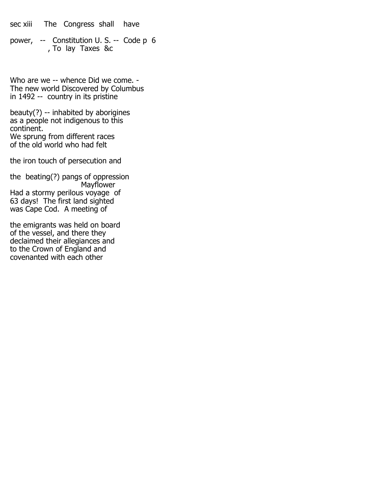sec xiii The Congress shall have

power, -- Constitution U. S. -- Code p 6 , To lay Taxes &c

Who are we -- whence Did we come. - The new world Discovered by Columbus in 1492 -- country in its pristine

beauty(?) -- inhabited by aborigines as a people not indigenous to this continent. We sprung from different races of the old world who had felt

the iron touch of persecution and

the beating(?) pangs of oppression Mayflower Had a stormy perilous voyage of 63 days! The first land sighted was Cape Cod. A meeting of

the emigrants was held on board of the vessel, and there they declaimed their allegiances and to the Crown of England and covenanted with each other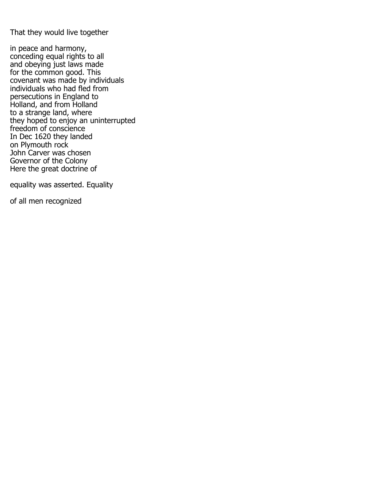That they would live together

in peace and harmony, conceding equal rights to all and obeying just laws made for the common good. This covenant was made by individuals individuals who had fled from persecutions in England to Holland, and from Holland to a strange land, where they hoped to enjoy an uninterrupted freedom of conscience In Dec 1620 they landed on Plymouth rock John Carver was chosen Governor of the Colony Here the great doctrine of

equality was asserted. Equality

of all men recognized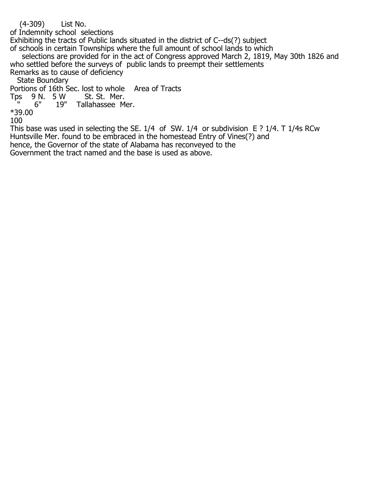(4-309) List No.

of Indemnity school selections

Exhibiting the tracts of Public lands situated in the district of C--ds(?) subject of schools in certain Townships where the full amount of school lands to which

 selections are provided for in the act of Congress approved March 2, 1819, May 30th 1826 and who settled before the surveys of public lands to preempt their settlements Remarks as to cause of deficiency

State Boundary

Portions of 16th Sec. lost to whole Area of Tracts<br>Tps 9 N. 5 W St. St. Mer.

ps 9 N. 5 W<br>" 6" 19"

Tallahassee Mer.

\*39.00 100

This base was used in selecting the SE. 1/4 of SW. 1/4 or subdivision E ? 1/4. T 1/4s RCw Huntsville Mer. found to be embraced in the homestead Entry of Vines(?) and hence, the Governor of the state of Alabama has reconveyed to the Government the tract named and the base is used as above.